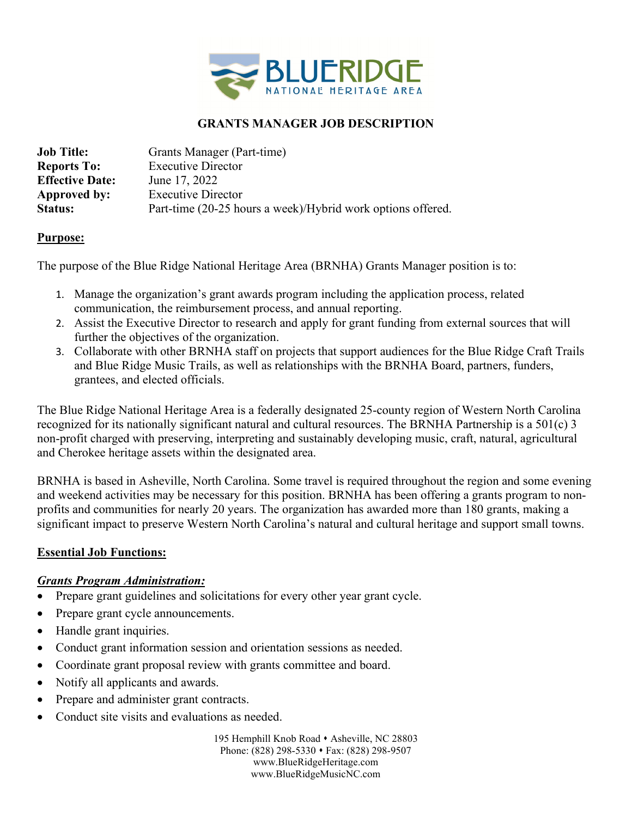

#### **GRANTS MANAGER JOB DESCRIPTION**

| <b>Job Title:</b>      | Grants Manager (Part-time)                                  |
|------------------------|-------------------------------------------------------------|
| <b>Reports To:</b>     | <b>Executive Director</b>                                   |
| <b>Effective Date:</b> | June 17, 2022                                               |
| Approved by:           | <b>Executive Director</b>                                   |
| <b>Status:</b>         | Part-time (20-25 hours a week)/Hybrid work options offered. |

#### **Purpose:**

The purpose of the Blue Ridge National Heritage Area (BRNHA) Grants Manager position is to:

- 1. Manage the organization's grant awards program including the application process, related communication, the reimbursement process, and annual reporting.
- 2. Assist the Executive Director to research and apply for grant funding from external sources that will further the objectives of the organization.
- 3. Collaborate with other BRNHA staff on projects that support audiences for the Blue Ridge Craft Trails and Blue Ridge Music Trails, as well as relationships with the BRNHA Board, partners, funders, grantees, and elected officials.

The Blue Ridge National Heritage Area is a federally designated 25-county region of Western North Carolina recognized for its nationally significant natural and cultural resources. The BRNHA Partnership is a 501(c) 3 non-profit charged with preserving, interpreting and sustainably developing music, craft, natural, agricultural and Cherokee heritage assets within the designated area.

BRNHA is based in Asheville, North Carolina. Some travel is required throughout the region and some evening and weekend activities may be necessary for this position. BRNHA has been offering a grants program to nonprofits and communities for nearly 20 years. The organization has awarded more than 180 grants, making a significant impact to preserve Western North Carolina's natural and cultural heritage and support small towns.

#### **Essential Job Functions:**

#### *Grants Program Administration:*

- Prepare grant guidelines and solicitations for every other year grant cycle.
- Prepare grant cycle announcements.
- Handle grant inquiries.
- Conduct grant information session and orientation sessions as needed.
- Coordinate grant proposal review with grants committee and board.
- Notify all applicants and awards.
- Prepare and administer grant contracts.
- Conduct site visits and evaluations as needed.

195 Hemphill Knob Road • Asheville, NC 28803 Phone: (828) 298-5330 • Fax: (828) 298-9507 www.BlueRidgeHeritage.com www.BlueRidgeMusicNC.com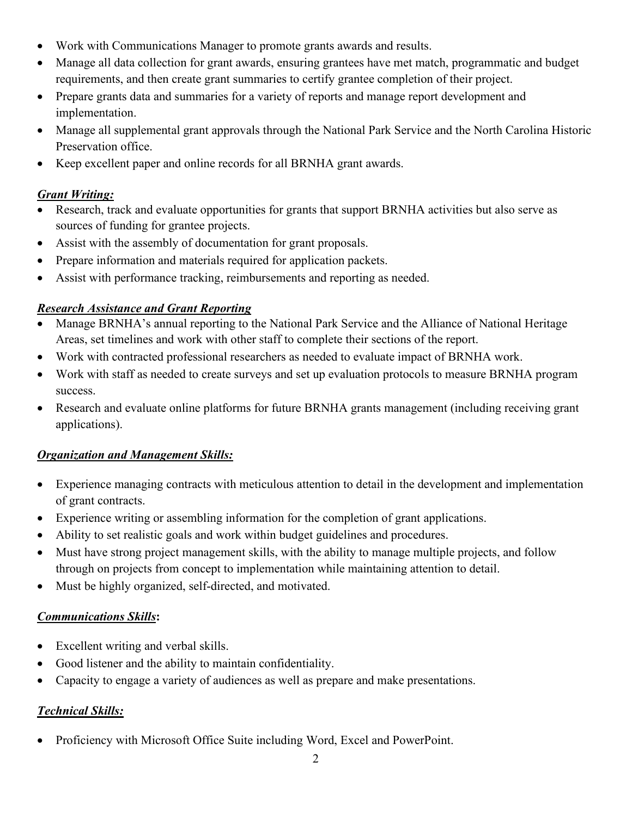- Work with Communications Manager to promote grants awards and results.
- Manage all data collection for grant awards, ensuring grantees have met match, programmatic and budget requirements, and then create grant summaries to certify grantee completion of their project.
- Prepare grants data and summaries for a variety of reports and manage report development and implementation.
- Manage all supplemental grant approvals through the National Park Service and the North Carolina Historic Preservation office.
- Keep excellent paper and online records for all BRNHA grant awards.

## *Grant Writing:*

- Research, track and evaluate opportunities for grants that support BRNHA activities but also serve as sources of funding for grantee projects.
- Assist with the assembly of documentation for grant proposals.
- Prepare information and materials required for application packets.
- Assist with performance tracking, reimbursements and reporting as needed.

# *Research Assistance and Grant Reporting*

- Manage BRNHA's annual reporting to the National Park Service and the Alliance of National Heritage Areas, set timelines and work with other staff to complete their sections of the report.
- Work with contracted professional researchers as needed to evaluate impact of BRNHA work.
- Work with staff as needed to create surveys and set up evaluation protocols to measure BRNHA program success.
- Research and evaluate online platforms for future BRNHA grants management (including receiving grant applications).

## *Organization and Management Skills:*

- Experience managing contracts with meticulous attention to detail in the development and implementation of grant contracts.
- Experience writing or assembling information for the completion of grant applications.
- Ability to set realistic goals and work within budget guidelines and procedures.
- Must have strong project management skills, with the ability to manage multiple projects, and follow through on projects from concept to implementation while maintaining attention to detail.
- Must be highly organized, self-directed, and motivated.

## *Communications Skills***:**

- Excellent writing and verbal skills.
- Good listener and the ability to maintain confidentiality.
- Capacity to engage a variety of audiences as well as prepare and make presentations.

# *Technical Skills:*

• Proficiency with Microsoft Office Suite including Word, Excel and PowerPoint.